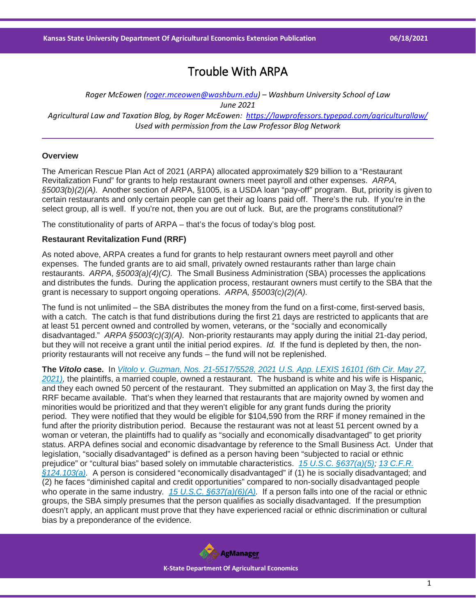# Trouble With ARPA

*Roger McEowen [\(roger.mceowen@washburn.edu\)](mailto:roger.mceowen@washburn.edu) – Washburn University School of Law June 2021 Agricultural Law and Taxation Blog, by Roger McEowen:<https://lawprofessors.typepad.com/agriculturallaw/> Used with permission from the Law Professor Blog Network*

## **Overview**

The American Rescue Plan Act of 2021 (ARPA) allocated approximately \$29 billion to a "Restaurant Revitalization Fund" for grants to help restaurant owners meet payroll and other expenses. *ARPA, §5003(b)(2)(A).* Another section of ARPA, §1005, is a USDA loan "pay-off" program. But, priority is given to certain restaurants and only certain people can get their ag loans paid off. There's the rub. If you're in the select group, all is well. If you're not, then you are out of luck. But, are the programs constitutional?

The constitutionality of parts of ARPA – that's the focus of today's blog post.

### **Restaurant Revitalization Fund (RRF)**

As noted above, ARPA creates a fund for grants to help restaurant owners meet payroll and other expenses. The funded grants are to aid small, privately owned restaurants rather than large chain restaurants. *ARPA, §5003(a)(4)(C).* The Small Business Administration (SBA) processes the applications and distributes the funds. During the application process, restaurant owners must certify to the SBA that the grant is necessary to support ongoing operations. *ARPA, §5003(c)(2)(A).*

The fund is not unlimited – the SBA distributes the money from the fund on a first-come, first-served basis, with a catch. The catch is that fund distributions during the first 21 days are restricted to applicants that are at least 51 percent owned and controlled by women, veterans, or the "socially and economically disadvantaged." *ARPA §5003(c)(3)(A).* Non-priority restaurants may apply during the initial 21-day period, but they will not receive a grant until the initial period expires. *Id.* If the fund is depleted by then, the nonpriority restaurants will not receive any funds – the fund will not be replenished.

**The** *Vitolo c***ase.** In *[Vitolo v. Guzman, Nos. 21-5517/5528, 2021 U.S. App. LEXIS 16101 \(6th Cir. May 27,](https://casetext.com/case/vitolo-v-guzman-1?ref=ArRBZs!0OqOJp)  [2021\),](https://casetext.com/case/vitolo-v-guzman-1?ref=ArRBZs!0OqOJp)* the plaintiffs, a married couple, owned a restaurant. The husband is white and his wife is Hispanic, and they each owned 50 percent of the restaurant. They submitted an application on May 3, the first day the RRF became available. That's when they learned that restaurants that are majority owned by women and minorities would be prioritized and that they weren't eligible for any grant funds during the priority period. They were notified that they would be eligible for \$104,590 from the RRF if money remained in the fund after the priority distribution period. Because the restaurant was not at least 51 percent owned by a woman or veteran, the plaintiffs had to qualify as "socially and economically disadvantaged" to get priority status. ARPA defines social and economic disadvantage by reference to the Small Business Act. Under that legislation, "socially disadvantaged" is defined as a person having been "subjected to racial or ethnic prejudice" or "cultural bias" based solely on immutable characteristics. *[15 U.S.C. §637\(a\)\(5\);](https://casetext.com/statute/united-states-code/title-15-commerce-and-trade/chapter-14a-aid-to-small-business/section-637-additional-powers?ref=ArRBZs!y6biG7) [13 C.F.R.](https://casetext.com/regulation/code-of-federal-regulations/title-13-business-credit-and-assistance/chapter-i-small-business-administration/part-124-8a-business-developmentsmall-disadvantaged-business-status-determinations/subpart-a-8a-business-development/eligibility-requirements-for-participation-in-the-8a-business-development-program/124103-who-is-socially-disadvantaged?ref=ArRBZs!WIiX9h)  [§124.103\(a\).](https://casetext.com/regulation/code-of-federal-regulations/title-13-business-credit-and-assistance/chapter-i-small-business-administration/part-124-8a-business-developmentsmall-disadvantaged-business-status-determinations/subpart-a-8a-business-development/eligibility-requirements-for-participation-in-the-8a-business-development-program/124103-who-is-socially-disadvantaged?ref=ArRBZs!WIiX9h)* A person is considered "economically disadvantaged" if (1) he is socially disadvantaged; and (2) he faces "diminished capital and credit opportunities" compared to non-socially disadvantaged people who operate in the same industry*. [15 U.S.C. §637\(a\)\(6\)\(A\).](https://casetext.com/statute/united-states-code/title-15-commerce-and-trade/chapter-14a-aid-to-small-business/section-637-additional-powers?ref=ArRBZs!y6biG7)* If a person falls into one of the racial or ethnic groups, the SBA simply presumes that the person qualifies as socially disadvantaged. If the presumption doesn't apply, an applicant must prove that they have experienced racial or ethnic discrimination or cultural bias by a preponderance of the evidence.

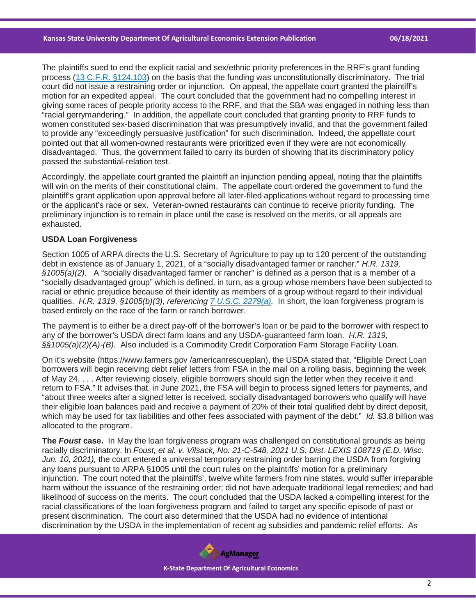The plaintiffs sued to end the explicit racial and sex/ethnic priority preferences in the RRF's grant funding process [\(13 C.F.R. §124.103\)](https://casetext.com/regulation/code-of-federal-regulations/title-13-business-credit-and-assistance/chapter-i-small-business-administration/part-124-8a-business-developmentsmall-disadvantaged-business-status-determinations/subpart-a-8a-business-development/eligibility-requirements-for-participation-in-the-8a-business-development-program/124103-who-is-socially-disadvantaged?ref=ArRBZs!WIiX9h) on the basis that the funding was unconstitutionally discriminatory. The trial court did not issue a restraining order or injunction. On appeal, the appellate court granted the plaintiff's motion for an expedited appeal. The court concluded that the government had no compelling interest in giving some races of people priority access to the RRF, and that the SBA was engaged in nothing less than "racial gerrymandering." In addition, the appellate court concluded that granting priority to RRF funds to women constituted sex-based discrimination that was presumptively invalid, and that the government failed to provide any "exceedingly persuasive justification" for such discrimination. Indeed, the appellate court pointed out that all women-owned restaurants were prioritized even if they were are not economically disadvantaged. Thus, the government failed to carry its burden of showing that its discriminatory policy passed the substantial-relation test.

Accordingly, the appellate court granted the plaintiff an injunction pending appeal, noting that the plaintiffs will win on the merits of their constitutional claim. The appellate court ordered the government to fund the plaintiff's grant application upon approval before all later-filed applications without regard to processing time or the applicant's race or sex. Veteran-owned restaurants can continue to receive priority funding. The preliminary injunction is to remain in place until the case is resolved on the merits, or all appeals are exhausted.

## **USDA Loan Forgiveness**

Section 1005 of ARPA directs the U.S. Secretary of Agriculture to pay up to 120 percent of the outstanding debt in existence as of January 1, 2021, of a "socially disadvantaged farmer or rancher." *H.R. 1319, §1005(a)(2).* A "socially disadvantaged farmer or rancher" is defined as a person that is a member of a "socially disadvantaged group" which is defined, in turn, as a group whose members have been subjected to racial or ethnic prejudice because of their identity as members of a group without regard to their individual qualities. *H.R. 1319, §1005(b)(3), referencing [7 U.S.C. 2279\(a\).](https://casetext.com/statute/united-states-code/title-7-agriculture/chapter-55-department-of-agriculture/section-2279-farming-opportunities-training-and-outreach?ref=ArRBZs!Tijt1M)* In short, the loan forgiveness program is based entirely on the race of the farm or ranch borrower.

The payment is to either be a direct pay-off of the borrower's loan or be paid to the borrower with respect to any of the borrower's USDA direct farm loans and any USDA-guaranteed farm loan. *H.R. 1319, §§1005(a)(2)(A)-(B).* Also included is a Commodity Credit Corporation Farm Storage Facility Loan.

On it's website (https://www.farmers.gov /americanrescueplan), the USDA stated that, "Eligible Direct Loan borrowers will begin receiving debt relief letters from FSA in the mail on a rolling basis, beginning the week of May 24. . . . After reviewing closely, eligible borrowers should sign the letter when they receive it and return to FSA." It advises that, in June 2021, the FSA will begin to process signed letters for payments, and "about three weeks after a signed letter is received, socially disadvantaged borrowers who qualify will have their eligible loan balances paid and receive a payment of 20% of their total qualified debt by direct deposit, which may be used for tax liabilities and other fees associated with payment of the debt." *Id.* \$3.8 billion was allocated to the program.

**The** *Foust* **case.** In May the loan forgiveness program was challenged on constitutional grounds as being racially discriminatory. In *Foust, et al. v. Vilsack, No. 21-C-548, 2021 U.S. Dist. LEXIS 108719 (E.D. Wisc. Jun. 10, 2021),* the court entered a universal temporary restraining order barring the USDA from forgiving any loans pursuant to ARPA §1005 until the court rules on the plaintiffs' motion for a preliminary injunction. The court noted that the plaintiffs', twelve white farmers from nine states, would suffer irreparable harm without the issuance of the restraining order; did not have adequate traditional legal remedies; and had likelihood of success on the merits. The court concluded that the USDA lacked a compelling interest for the racial classifications of the loan forgiveness program and failed to target any specific episode of past or present discrimination. The court also determined that the USDA had no evidence of intentional discrimination by the USDA in the implementation of recent ag subsidies and pandemic relief efforts. As